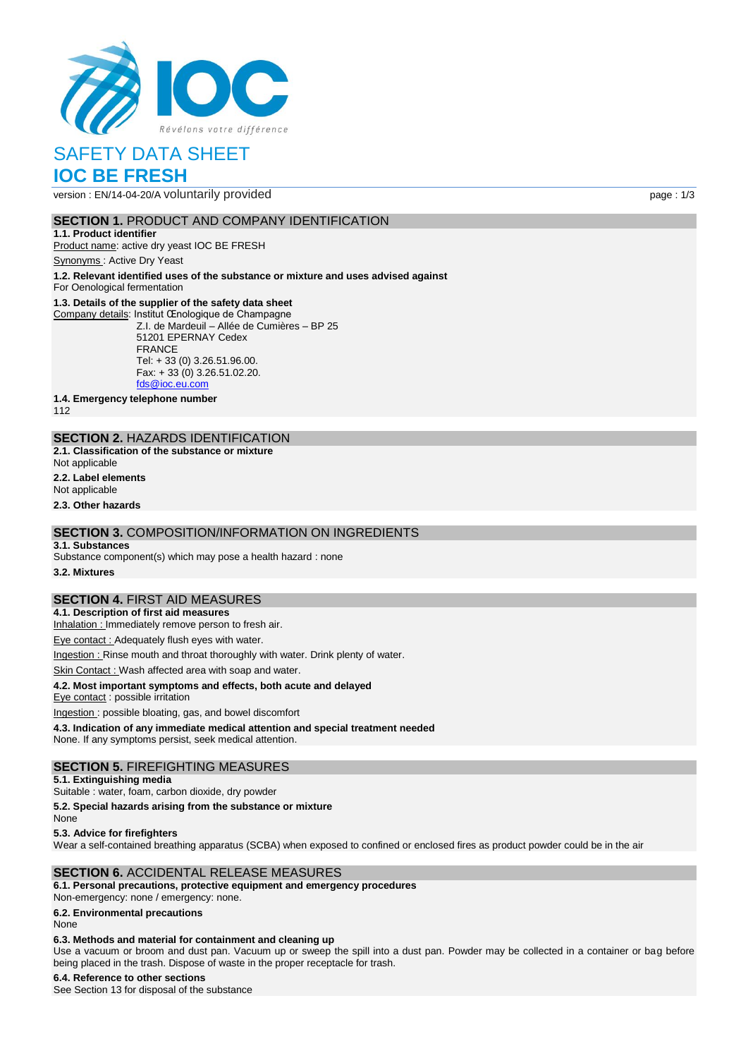

# SAFETY DATA SHEET **IOC BE FRESH**

version : EN/14-04-20/A voluntarily provided page : 1/3

## **SECTION 1. PRODUCT AND COMPANY IDENTIFICATION**

**1.1. Product identifier** Product name: active dry yeast IOC BE FRESH

Synonyms : Active Dry Yeast

**1.2. Relevant identified uses of the substance or mixture and uses advised against**

For Oenological fermentation

### **1.3. Details of the supplier of the safety data sheet**

Company details: Institut Œnologique de Champagne Z.I. de Mardeuil – Allée de Cumières – BP 25 51201 EPERNAY Cedex FRANCE Tel: + 33 (0) 3.26.51.96.00. Fax: + 33 (0) 3.26.51.02.20. [fds@ioc.eu.com](mailto:fds@ioc.eu.com)

**1.4. Emergency telephone number**

112

## **SECTION 2.** HAZARDS IDENTIFICATION

- **2.1. Classification of the substance or mixture**
- Not applicable
- **2.2. Label elements**

Not applicable

**2.3. Other hazards**

## **SECTION 3.** COMPOSITION/INFORMATION ON INGREDIENTS

#### **3.1. Substances**

Substance component(s) which may pose a health hazard : none

**3.2. Mixtures**

# **SECTION 4.** FIRST AID MEASURES

**4.1. Description of first aid measures**

Inhalation : Immediately remove person to fresh air.

Eye contact : Adequately flush eyes with water.

Ingestion : Rinse mouth and throat thoroughly with water. Drink plenty of water.

Skin Contact : Wash affected area with soap and water.

### **4.2. Most important symptoms and effects, both acute and delayed**

Eye contact : possible irritation

Ingestion : possible bloating, gas, and bowel discomfort **4.3. Indication of any immediate medical attention and special treatment needed**

None. If any symptoms persist, seek medical attention.

### **SECTION 5.** FIREFIGHTING MEASURES

### **5.1. Extinguishing media**

Suitable : water, foam, carbon dioxide, dry powder

**5.2. Special hazards arising from the substance or mixture**

None

**5.3. Advice for firefighters**

Wear a self-contained breathing apparatus (SCBA) when exposed to confined or enclosed fires as product powder could be in the air

## **SECTION 6.** ACCIDENTAL RELEASE MEASURES

### **6.1. Personal precautions, protective equipment and emergency procedures**

Non‐emergency: none / emergency: none.

**6.2. Environmental precautions**

None

### **6.3. Methods and material for containment and cleaning up**

Use a vacuum or broom and dust pan. Vacuum up or sweep the spill into a dust pan. Powder may be collected in a container or bag before being placed in the trash. Dispose of waste in the proper receptacle for trash.

### **6.4. Reference to other sections**

See Section 13 for disposal of the substance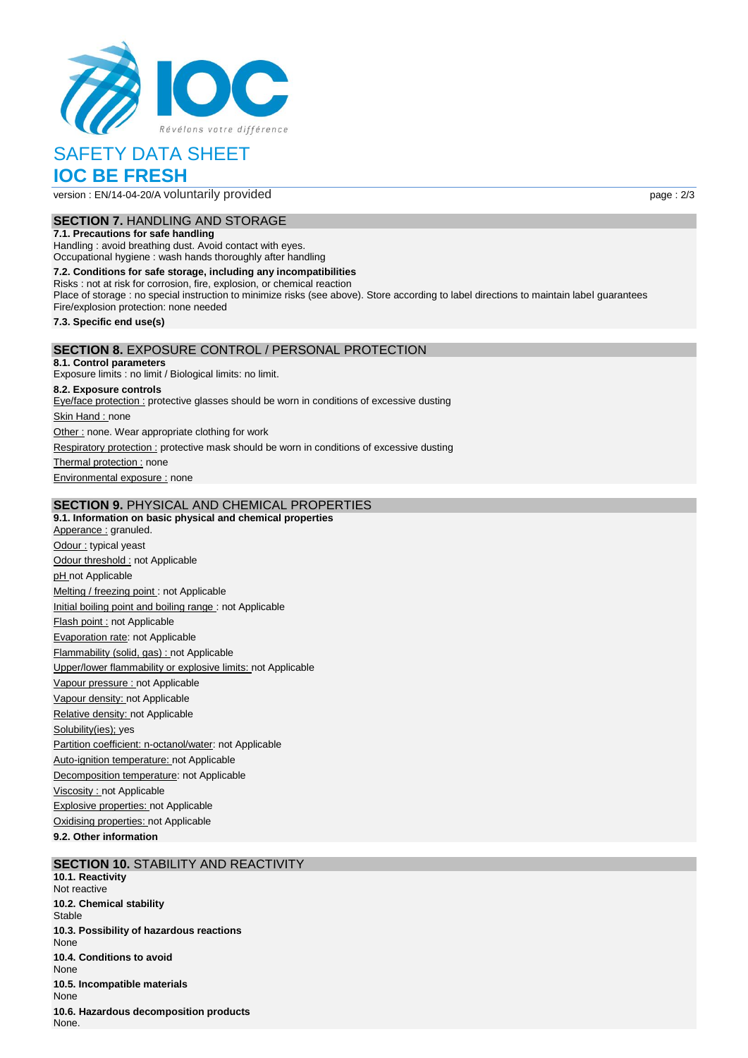

# SAFETY DATA SHEET **IOC BE FRESH**

version : EN/14-04-20/A voluntarily provided page : 2/3

# **SECTION 7.** HANDLING AND STORAGE

**7.1. Precautions for safe handling**

Handling : avoid breathing dust. Avoid contact with eyes. Occupational hygiene : wash hands thoroughly after handling

**7.2. Conditions for safe storage, including any incompatibilities** Risks : not at risk for corrosion, fire, explosion, or chemical reaction Place of storage : no special instruction to minimize risks (see above). Store according to label directions to maintain label guarantees Fire/explosion protection: none needed **7.3. Specific end use(s) SECTION 8.** EXPOSURE CONTROL / PERSONAL PROTECTION **8.1. Control parameters** Exposure limits : no limit / Biological limits: no limit. **8.2. Exposure controls**

Eye/face protection : protective glasses should be worn in conditions of excessive dusting Skin Hand : none

Other : none. Wear appropriate clothing for work

Respiratory protection : protective mask should be worn in conditions of excessive dusting

Thermal protection : none

Environmental exposure : none

### **SECTION 9.** PHYSICAL AND CHEMICAL PROPERTIES

**9.1. Information on basic physical and chemical properties** Apperance : granuled. Odour : typical yeast Odour threshold : not Applicable pH not Applicable Melting / freezing point : not Applicable Initial boiling point and boiling range : not Applicable Flash point : not Applicable Evaporation rate: not Applicable Flammability (solid, gas) : not Applicable Upper/lower flammability or explosive limits: not Applicable Vapour pressure : not Applicable Vapour density: not Applicable Relative density: not Applicable Solubility(ies); yes Partition coefficient: n-octanol/water: not Applicable Auto-ignition temperature: not Applicable Decomposition temperature: not Applicable Viscosity : not Applicable Explosive properties: not Applicable Oxidising properties: not Applicable

**9.2. Other information**

# **SECTION 10.** STABILITY AND REACTIVITY

**10.1. Reactivity** Not reactive **10.2. Chemical stability Stable 10.3. Possibility of hazardous reactions** None **10.4. Conditions to avoid** None **10.5. Incompatible materials** None **10.6. Hazardous decomposition products** None.